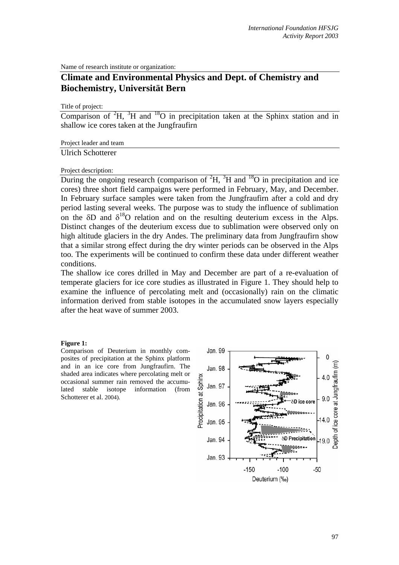Name of research institute or organization:

# **Climate and Environmental Physics and Dept. of Chemistry and Biochemistry, Universität Bern**

Title of project:

Comparison of  ${}^{2}H$ ,  ${}^{3}H$  and  ${}^{18}O$  in precipitation taken at the Sphinx station and in shallow ice cores taken at the Jungfraufirn

### Project leader and team

## Ulrich Schotterer

### Project description:

During the ongoing research (comparison of  ${}^{2}H$ ,  ${}^{3}H$  and  ${}^{18}O$  in precipitation and ice cores) three short field campaigns were performed in February, May, and December. In February surface samples were taken from the Jungfraufirn after a cold and dry period lasting several weeks. The purpose was to study the influence of sublimation on the  $\delta$ D and  $\delta$ <sup>18</sup>O relation and on the resulting deuterium excess in the Alps. Distinct changes of the deuterium excess due to sublimation were observed only on high altitude glaciers in the dry Andes. The preliminary data from Jungfraufirn show that a similar strong effect during the dry winter periods can be observed in the Alps too. The experiments will be continued to confirm these data under different weather conditions.

The shallow ice cores drilled in May and December are part of a re-evaluation of temperate glaciers for ice core studies as illustrated in Figure 1. They should help to examine the influence of percolating melt and (occasionally) rain on the climatic information derived from stable isotopes in the accumulated snow layers especially after the heat wave of summer 2003.

#### **Figure 1:**

Comparison of Deuterium in monthly composites of precipitation at the Sphinx platform and in an ice core from Jungfraufirn. The shaded area indicates where percolating melt or occasional summer rain removed the accumulated stable isotope information (from Schotterer et al. 2004).